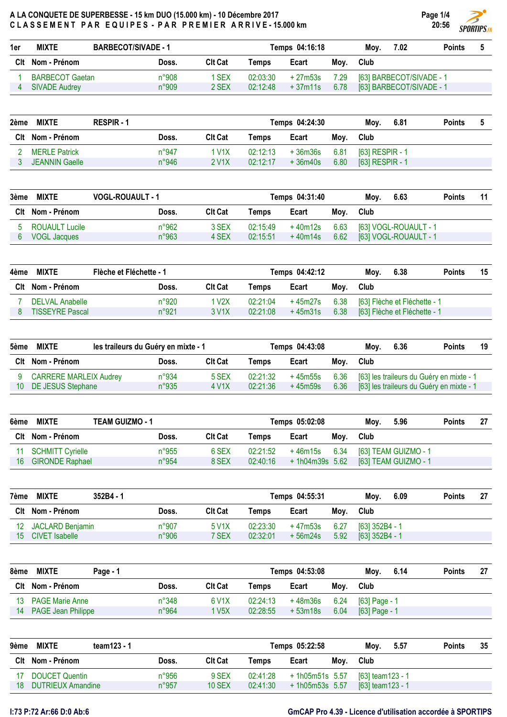

| 1er | <b>MIXTE</b>           | <b>BARBECOT/SIVADE - 1</b> | Temps 04:16:18 |          |          |      | 7.02<br>Mov.             | <b>Points</b> |  |
|-----|------------------------|----------------------------|----------------|----------|----------|------|--------------------------|---------------|--|
|     | Clt Nom - Prénom       | Doss.                      | Clt Cat        | Temps    | Ecart    | Mov. | Club                     |               |  |
|     | <b>BARBECOT Gaetan</b> | n°908                      | I SEX          | 02:03:30 | + 27m53s | 7.29 | [63] BARBECOT/SIVADE - 1 |               |  |
|     | <b>SIVADE Audrey</b>   | n°909                      | 2 SEX          | 02:12:48 | +37m11s  | 6.78 | [63] BARBECOT/SIVADE - 1 |               |  |

| 2ème | <b>MIXTE</b>          | <b>RESPIR - 1</b> |       |                    |          | Temps 04:24:30 |      | 6.81<br>Mov.    | <b>Points</b> |  |
|------|-----------------------|-------------------|-------|--------------------|----------|----------------|------|-----------------|---------------|--|
|      | Clt Nom - Prénom      |                   | Doss. | <b>Clt Cat</b>     | Temps    | Ecart          | Moy. | Club            |               |  |
|      | <b>MERLE Patrick</b>  |                   | n°947 | 1 V1X              | 02:12:13 | + 36m36s       | 6.81 | [63] RESPIR - 1 |               |  |
|      | <b>JEANNIN Gaelle</b> |                   | n°946 | 2 V <sub>1</sub> X | 02:12:17 | $+36m40s$      | 6.80 | [63] RESPIR - 1 |               |  |

| 3ème | <b>MIXTE</b>          | <b>VOGL-ROUAULT - 1</b> |                | Temps 04:31:40 |          |      | Moy.        | 6.63                       | <b>Points</b> | 11 |
|------|-----------------------|-------------------------|----------------|----------------|----------|------|-------------|----------------------------|---------------|----|
|      | Clt Nom - Prénom      | Doss.                   | <b>Clt Cat</b> | Temps          | Ecart    | Mov. | <b>Club</b> |                            |               |    |
|      | <b>ROUAULT Lucile</b> | n°962                   | 3 SEX          | 02:15:49       | + 40m12s |      |             | 6.63 [63] VOGL-ROUAULT - 1 |               |    |
|      | VOGL Jacques          | n°963                   | 4 SEX          | 02:15:51       | +40m14s  |      |             | 6.62 [63] VOGL-ROUAULT - 1 |               |    |

| 4ème | <b>MIXTE</b>           | Flèche et Fléchette - 1 |                    | Temps 04:42:12 |         |      | 6.38<br>Mov.                 | <b>Points</b> | 15 |
|------|------------------------|-------------------------|--------------------|----------------|---------|------|------------------------------|---------------|----|
|      | Clt Nom - Prénom       | Doss.                   | <b>Clt Cat</b>     | Temps          | Ecart   | Mov. | Club                         |               |    |
|      | <b>DELVAL Anabelle</b> | n°920                   | 1 V2X              | 02:21:04       | +45m27s | 6.38 | [63] Flèche et Fléchette - 1 |               |    |
|      | <b>TISSEYRE Pascal</b> | n°921                   | 3 V <sub>1</sub> X | 02:21:08       | +45m31s | 6.38 | [63] Flèche et Fléchette - 1 |               |    |

| 5ème | <b>MIXTE</b><br>les traileurs du Guéry en mixte - 1 |       |                | Temps 04:43:08 |          |      | Mov. | 6.36 | <b>Points</b>                            | 19 |
|------|-----------------------------------------------------|-------|----------------|----------------|----------|------|------|------|------------------------------------------|----|
|      | Clt Nom - Prénom                                    | Doss. | <b>Clt Cat</b> | Temps          | Ecart    | Mov. | Club |      |                                          |    |
|      | <b>CARRERE MARLEIX Audrey</b>                       | n°934 | 5 SEX          | 02:21:32       | + 45m55s | 6.36 |      |      | [63] les traileurs du Guéry en mixte - 1 |    |
|      | DE JESUS Stephane                                   | n°935 | 4 V1X          | 02:21:36       | +45m59s  | 6.36 |      |      | [63] les traileurs du Guéry en mixte - 1 |    |

| 6ème | <b>MIXTE</b>           | <b>TEAM GUIZMO - 1</b> |         | Temps 05:02:08 | Mov.            | 5.96 | <b>Points</b> | 27                     |  |  |
|------|------------------------|------------------------|---------|----------------|-----------------|------|---------------|------------------------|--|--|
|      | Clt Nom - Prénom       | Doss.                  | CIt Cat | Temps          | Ecart           | Moy. | Club          |                        |  |  |
|      | 11 SCHMITT Cyrielle    | $n^{\circ}955$         | 6 SEX   | 02:21:52       | $+46m15s$ 6.34  |      |               | [63] TEAM GUIZMO - 1   |  |  |
| 16   | <b>GIRONDE Raphael</b> | n°954                  | 8 SEX   | 02:40:16       | + 1h04m39s 5.62 |      |               | $[63]$ TEAM GUIZMO - 1 |  |  |

| 7ème | <b>MIXTE</b><br>$352B4 - 1$ |       |                    |          | Temps 04:55:31 |      | 6.09<br>Mov.   | <b>Points</b> | 27 |
|------|-----------------------------|-------|--------------------|----------|----------------|------|----------------|---------------|----|
|      | Clt Nom - Prénom            | Doss. | <b>Clt Cat</b>     | Temps    | Ecart          | Mov. | <b>Club</b>    |               |    |
|      | 12 JACLARD Benjamin         | n°907 | 5 V <sub>1</sub> X | 02:23:30 | + 47m53s       | 6.27 | [63] 352B4 - 1 |               |    |
|      | 15 CIVET Isabelle           | n°906 | 7 SEX              | 02:32:01 | + 56m24s       | 5.92 | [63] 352B4 - 1 |               |    |

| 8ème | <b>MIXTE</b>              | Page - 1       |                |          | Temps 04:53:08 |      | Moy.          | 6.14 | <b>Points</b> | 27 |
|------|---------------------------|----------------|----------------|----------|----------------|------|---------------|------|---------------|----|
|      | Clt Nom - Prénom          | Doss.          | <b>Clt Cat</b> | Temps    | Ecart          | Moy. | Club          |      |               |    |
|      | 13 PAGE Marie Anne        | $n^{\circ}348$ | 6 V1X          | 02:24:13 | + 48m36s       | 6.24 | [63] Page - 1 |      |               |    |
| 14   | <b>PAGE Jean Philippe</b> | n°964          | 1 V5X          | 02:28:55 | + 53m18s       | 6.04 | [63] Page - 1 |      |               |    |

| 9ème | <b>MIXTE</b>             | team123 - 1 |                | Moy.     | 5.57             | <b>Points</b> | 35               |  |  |  |
|------|--------------------------|-------------|----------------|----------|------------------|---------------|------------------|--|--|--|
|      | Clt Nom - Prénom         | Doss.       | <b>Clt Cat</b> | Temps    | Ecart            | Mov.          | Club             |  |  |  |
|      | DOUCET Quentin           | n°956       | 9 SEX          | 02:41:28 | $+1h05m51s$ 5.57 |               | [63] team123 - 1 |  |  |  |
| 18   | <b>DUTRIEUX Amandine</b> | n°957       | <b>10 SEX</b>  | 02:41:30 | $+1h05m53s$ 5.57 |               | [63] team123 - 1 |  |  |  |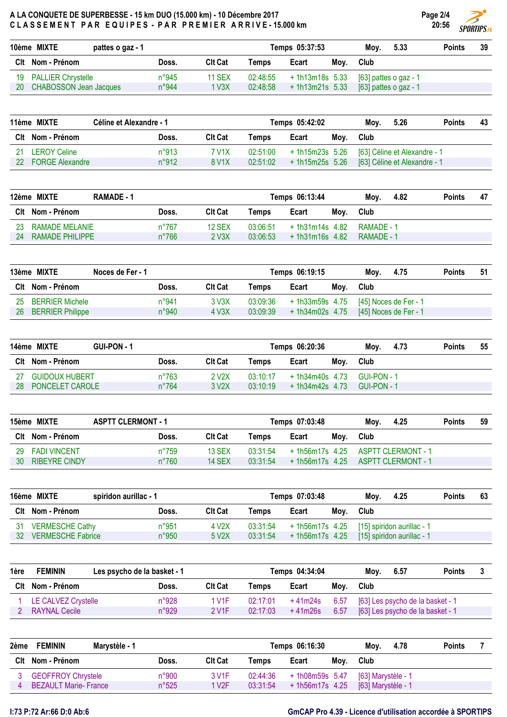

|    | 10ème MIXTE<br>pattes o gaz - 1 |                |                |          | Temps 05:37:53   |      | 5.33<br>Mov.          | <b>Points</b> | 39 |
|----|---------------------------------|----------------|----------------|----------|------------------|------|-----------------------|---------------|----|
|    | Clt Nom - Prénom                | Doss.          | <b>Clt Cat</b> | Temps    | Ecart            | Moy. | Club                  |               |    |
|    | 19 PALLIER Chrystelle           | $n^{\circ}945$ | <b>11 SEX</b>  | 02:48:55 | $+1h13m18s$ 5.33 |      | [63] pattes o gaz - 1 |               |    |
| 20 | <b>CHABOSSON Jean Jacques</b>   | n°944          | 1 V3X          | 02:48:58 | $+1h13m21s$ 5.33 |      | [63] pattes o gaz - 1 |               |    |

| 11ème MIXTE |                        | Céline et Alexandre - 1 |                    |          | Temps 05:42:02  |      |      | 5.26                         | <b>Points</b> | 43 |
|-------------|------------------------|-------------------------|--------------------|----------|-----------------|------|------|------------------------------|---------------|----|
|             | Clt Nom - Prénom       | Doss.                   | <b>Clt Cat</b>     | Temps    | Ecart           | Moy. | Club |                              |               |    |
| 21          | <b>LEROY Celine</b>    | n°913                   | 7 V1X              | 02:51:00 | + 1h15m23s 5.26 |      |      | [63] Céline et Alexandre - 1 |               |    |
| 22          | <b>FORGE Alexandre</b> | $n^{\circ}912$          | 8 V <sub>1</sub> X | 02:51:02 | + 1h15m25s 5.26 |      |      | [63] Céline et Alexandre - 1 |               |    |

|    | 12ème MIXTE<br>RAMADE - 1 |                |                |          | Temps 06:13:44   |      | Moy.       | 4.82 | <b>Points</b> | 47 |
|----|---------------------------|----------------|----------------|----------|------------------|------|------------|------|---------------|----|
|    | CIt Nom - Prénom          | Doss.          | <b>CIt Cat</b> | Temps    | Ecart            | Mov. | Club       |      |               |    |
| 23 | RAMADE MELANIE            | $n^{\circ}767$ | 12 SEX         | 03:06:51 | $+1h31m14s$ 4.82 |      | RAMADF - 1 |      |               |    |
| 24 | <b>RAMADE PHILIPPE</b>    | $n^{\circ}766$ | 2 V3X          | 03:06:53 | $+1h31m16s$ 4.82 |      | RAMADE - 1 |      |               |    |

|    | 13ème MIXTE             | Noces de Fer - 1 |       |                |          | Temps 06:19:15  |      | Mov.                  | 4.75                  | <b>Points</b> | 51 |
|----|-------------------------|------------------|-------|----------------|----------|-----------------|------|-----------------------|-----------------------|---------------|----|
|    | Clt Nom - Prénom        |                  | Doss. | <b>CIt Cat</b> | Temps    | Ecart           | Mov. | Club                  |                       |               |    |
| 25 | <b>BERRIER Michele</b>  |                  | n°941 | 3 V3X          | 03:09:36 | + 1h33m59s 4.75 |      | [45] Noces de Fer - 1 |                       |               |    |
| 26 | <b>BERRIER Philippe</b> |                  | n°940 | 4 V3X          | 03:09:39 | + 1h34m02s 4.75 |      |                       | [45] Noces de Fer - 1 |               |    |

|    | 14ème MIXTE<br>GUI-PON - 1 |                |                    | Temps 06:20:36 |                 |      |             | 4.73 | <b>Points</b> | 55 |
|----|----------------------------|----------------|--------------------|----------------|-----------------|------|-------------|------|---------------|----|
|    | Clt Nom - Prénom           | Doss.          | Clt Cat            | Temps          | Ecart           | Mov. | <b>Club</b> |      |               |    |
| 27 | <b>GUIDOUX HUBERT</b>      | n°763          | 2 V2X              | 03:10:17       | + 1h34m40s 4.73 |      | GUI-PON - 1 |      |               |    |
| 28 | PONCELET CAROLE            | $n^{\circ}764$ | 3 V <sub>2</sub> X | 03:10:19       | + 1h34m42s 4.73 |      | GUL-PON - 1 |      |               |    |

|    | 15ème MIXTE          | <b>ASPTT CLERMONT - 1</b> | Temps 07:03:48 |          |                 | 4.25<br>Moy. | <b>Points</b>        | 59 |  |
|----|----------------------|---------------------------|----------------|----------|-----------------|--------------|----------------------|----|--|
|    | Clt Nom - Prénom     | Doss.                     | <b>CIt Cat</b> | Temps    | Ecart           | Moy.         | <b>Club</b>          |    |  |
| 29 | FADI VINCENT         | $n^{\circ}759$            | 13 SEX         | 03:31:54 | + 1h56m17s 4.25 |              | ASPTT CLERMONT - 1   |    |  |
| 30 | <b>RIBEYRE CINDY</b> | $n^{\circ}760$            | 14 SEX         | 03:31:54 | + 1h56m17s 4.25 |              | - ASPTT CLERMONT - 1 |    |  |

|    | 16ème MIXTE<br>spiridon aurillac - 1 |       |                    |          | Temps 07:03:48   |      | Mov. | 4.25                       | <b>Points</b> | 63 |
|----|--------------------------------------|-------|--------------------|----------|------------------|------|------|----------------------------|---------------|----|
|    | CIt Nom - Prénom                     | Doss. | <b>CIt Cat</b>     | Temps    | Ecart            | Moy. | Club |                            |               |    |
| 31 | <b>VERMESCHE Cathy</b>               | n°951 | 4 V2X              | 03:31:54 | + 1h56m17s 4.25  |      |      | [15] spiridon aurillac - 1 |               |    |
| 32 | <b>VERMESCHE Fabrice</b>             | n°950 | 5 V <sub>2</sub> X | 03:31:54 | $+1h56m17s$ 4.25 |      |      | [15] spiridon aurillac - 1 |               |    |

| 1ère | <b>FEMININ</b>       | Les psycho de la basket - 1 |                    |          | Temps 04:34:04 |      | Moy. | 6.57                             | <b>Points</b> |  |
|------|----------------------|-----------------------------|--------------------|----------|----------------|------|------|----------------------------------|---------------|--|
| Clt  | Nom - Prénom         | Doss.                       | <b>Clt Cat</b>     | Temps    | Ecart          | Mov. | Club |                                  |               |  |
|      | LE CALVEZ Crystelle  | n°928                       | 1 V1F              | 02:17:01 | +41m24s        | 6.57 |      | [63] Les psycho de la basket - 1 |               |  |
|      | <b>RAYNAL Cecile</b> | n°929                       | 2 V <sub>1</sub> F | 02:17:03 | $+41m26s$      | 6.57 |      | [63] Les psycho de la basket - 1 |               |  |

| 2ème | <b>FEMININ</b><br>Marvstèle - 1 |                |                    |          | Temps 06:16:30   |      | 4.78<br>Mov.       | <b>Points</b> |  |
|------|---------------------------------|----------------|--------------------|----------|------------------|------|--------------------|---------------|--|
|      | Clt Nom - Prénom                | Doss.          | <b>Clt Cat</b>     | Temps    | Ecart            | Moy. | Club               |               |  |
|      | <b>GEOFFROY Chrystele</b>       | n°900          | 3 V <sub>1</sub> F | 02:44:36 | + 1h08m59s 5.47  |      | [63] Marystèle - 1 |               |  |
|      | <b>BEZAULT Marie- France</b>    | $n^{\circ}525$ | 1 V <sub>2</sub> F | 03:31:54 | $+1h56m17s$ 4.25 |      | [63] Marystèle - 1 |               |  |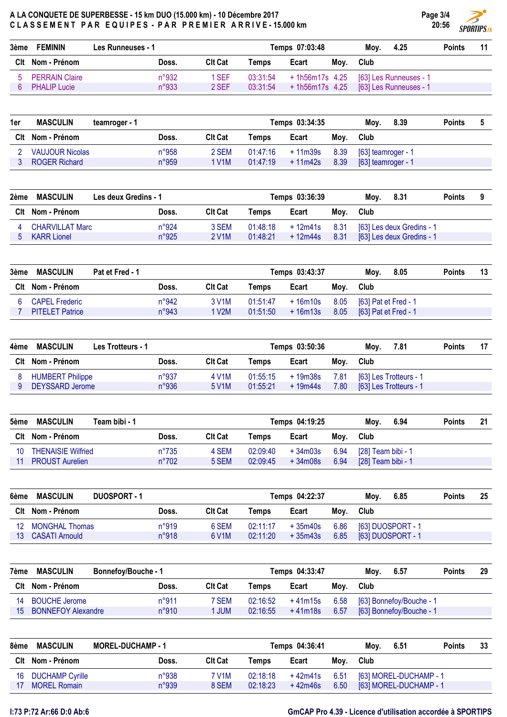| 3ème | <b>FEMININ</b>        | Les Runneuses - 1 | Temps 07:03:48 |          |                            |      |      | 4.25                                   | <b>Points</b> | 11 |
|------|-----------------------|-------------------|----------------|----------|----------------------------|------|------|----------------------------------------|---------------|----|
|      | Clt Nom - Prénom      | Doss.             | <b>CIt Cat</b> | Temps    | Ecart                      | Mov. | Club |                                        |               |    |
| b.   | <b>PERRAIN Claire</b> | n°932             | 1 SEF          | 03:31:54 |                            |      |      | + 1h56m17s 4.25 [63] Les Runneuses - 1 |               |    |
|      | <b>PHALIP Lucie</b>   | n°933             | 2 SEF          |          | $03:31:54$ + 1h56m17s 4.25 |      |      | [63] Les Runneuses - 1                 |               |    |

| 1er | <b>MASCULIN</b>      | teamroger - 1 |       |                    |          | Temps 03:34:35 |      | 8.39<br>Mov.       | <b>Points</b> |  |
|-----|----------------------|---------------|-------|--------------------|----------|----------------|------|--------------------|---------------|--|
|     | Clt Nom - Prénom     |               | Doss. | <b>Clt Cat</b>     | Temps    | Ecart          | Moy. | Club               |               |  |
|     | VAUJOUR Nicolas      |               | n°958 | 2 SEM              | 01:47:16 | + 11m39s       | 8.39 | [63] teamroger - 1 |               |  |
|     | <b>ROGER Richard</b> |               | n°959 | 1 V <sub>1</sub> M | 01:47:19 | $+11m42s$      | 8.39 | [63] teamroger - 1 |               |  |

| 2ème | MASCULIN               | Les deux Gredins - 1 |                    |          | Temps 03:36:39 |      | Mov. | 8.31                      | <b>Points</b> | 9 |
|------|------------------------|----------------------|--------------------|----------|----------------|------|------|---------------------------|---------------|---|
|      | Clt Nom - Prénom       | Doss.                | <b>Clt Cat</b>     | Temps    | Ecart          | Mov. | Club |                           |               |   |
|      | <b>CHARVILLAT Marc</b> | n°924                | 3 SEM              | 01:48:18 | + 12m41s       | 8.31 |      | [63] Les deux Gredins - 1 |               |   |
|      | <b>KARR Lionel</b>     | n°925                | 2 V <sub>1</sub> M | 01:48:21 | + 12m44s       | 8.31 |      | [63] Les deux Gredins - 1 |               |   |

| 3ème | <b>MASCULIN</b>        | Pat et Fred - 1 |       |                    |          | Temps 03:43:37 |      | 8.05<br>Mov.                      | <b>Points</b> | 13 |
|------|------------------------|-----------------|-------|--------------------|----------|----------------|------|-----------------------------------|---------------|----|
|      | Clt Nom - Prénom       |                 | Doss. | Clt Cat            | Temps    | Ecart          | Moy. | Club                              |               |    |
|      | <b>CAPEL Frederic</b>  |                 | n°942 | 3 V <sub>1</sub> M | 01:51:47 |                |      | +16m10s 8.05 [63] Pat et Fred - 1 |               |    |
|      | <b>PITELET Patrice</b> |                 | n°943 | 1 V2M              | 01:51:50 | + 16m13s       |      | 8.05 [63] Pat et Fred - 1         |               |    |

| 4ème | <b>MASCULIN</b>         | Les Trotteurs - 1 |                    | Temps 03:50:36 |          |      |      |                        | <b>Points</b> | 17 |
|------|-------------------------|-------------------|--------------------|----------------|----------|------|------|------------------------|---------------|----|
|      | Clt Nom - Prénom        | Doss.             | Clt Cat            | Temps          | Ecart    | Mov. | Club |                        |               |    |
|      | <b>HUMBERT Philippe</b> | n°937             | 4 V1M              | 01:55:15       | + 19m38s | 7.81 |      | [63] Les Trotteurs - 1 |               |    |
|      | DEYSSARD Jerome         | n°936             | 5 V <sub>1</sub> M | 01:55:21       | + 19m44s | 7.80 |      | [63] Les Trotteurs - 1 |               |    |

| 5ème | <b>MASCULIN</b>        | Team bibi - 1 |                |                | Temps 04:19:25 |          | Mov. | 6.94               | <b>Points</b> | 21 |  |
|------|------------------------|---------------|----------------|----------------|----------------|----------|------|--------------------|---------------|----|--|
|      | Clt Nom - Prénom       |               | Doss.          | <b>Clt Cat</b> | Temps          | Ecart    | Moy. | Club               |               |    |  |
| 10   | THENAISIE Wilfried     |               | $n^{\circ}735$ | 4 SEM          | 02:09:40       | + 34m03s | 6.94 | [28] Team bibi - 1 |               |    |  |
|      | <b>PROUST Aurelien</b> |               | $n^{\circ}702$ | 5 SEM          | 02:09:45       | +34m08s  | 6.94 | [28] Team bibi - 1 |               |    |  |

| 6ème | <b>MASCULIN</b><br>DUOSPORT - 1 |       | Temps 04:22:37     |          |           |      | 6.85<br>Mov.      | <b>Points</b> | 25 |
|------|---------------------------------|-------|--------------------|----------|-----------|------|-------------------|---------------|----|
|      | Clt Nom - Prénom                | Doss. | <b>CIt Cat</b>     | Temps    | Ecart     | Mov. | <b>Club</b>       |               |    |
| 12   | <b>MONGHAL Thomas</b>           | n°919 | 6 SEM              | 02:11:17 | + 35m40s  | 6.86 | [63] DUOSPORT - 1 |               |    |
| 13.  | CASATI Arnould                  | n°918 | 6 V <sub>1</sub> M | 02:11:20 | $+35m43s$ | 6.85 | [63] DUOSPORT - 1 |               |    |

| 7ème            | <b>MASCULIN</b>           | <b>Bonnefoy/Bouche - 1</b> |                | Temps 04:33:47 |          |      |      | 6.57                     | <b>Points</b> | 29 |
|-----------------|---------------------------|----------------------------|----------------|----------------|----------|------|------|--------------------------|---------------|----|
|                 | Clt Nom - Prénom          | Doss.                      | <b>Clt Cat</b> | Temps          | Ecart    | Mov. | Club |                          |               |    |
| 14              | <b>BOUCHE Jerome</b>      | n°911                      | 7 SEM          | 02:16:52       | + 41m15s | 6.58 |      | [63] Bonnefoy/Bouche - 1 |               |    |
| 15 <sup>°</sup> | <b>BONNEFOY Alexandre</b> | n°910                      | <b>JUM</b>     | 02:16:55       | +41m18s  | 6.57 |      | [63] Bonnefoy/Bouche - 1 |               |    |

| 8ème | <b>MASCULIN</b>        | <b>MOREL-DUCHAMP - 1</b> |                | Temps 04:36:41 |                |      | Mov.        | 6.51                   | <b>Points</b> | 33 |
|------|------------------------|--------------------------|----------------|----------------|----------------|------|-------------|------------------------|---------------|----|
|      | Clt Nom - Prénom       | Doss.                    | <b>CIt Cat</b> | Temps          | Ecart          | Mov. | <b>Club</b> |                        |               |    |
| 16   | <b>DUCHAMP Cyrille</b> | n°938                    | 7 V1M          | 02:18:18       | $+42m41s$ 6.51 |      |             | [63] MOREL-DUCHAMP - 1 |               |    |
| 17   | <b>MOREL Romain</b>    | n°939                    | 8 SEM          | 02:18:23       | + 42m46s       | 6.50 |             | [63] MOREL-DUCHAMP - 1 |               |    |

Page 3/4 20:56

**SPORTIPS.FR**